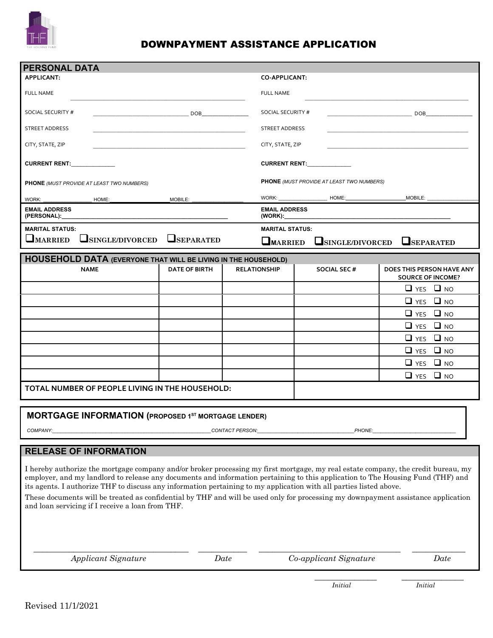

# DOWNPAYMENT ASSISTANCE APPLICATION

| <b>PERSONAL DATA</b>                                                                                                                                                                                                                                                                                                                                                                       |                                                                                                                                                                                                                                          |                                    |                                           |                                                                                                                                                                                                                                          |
|--------------------------------------------------------------------------------------------------------------------------------------------------------------------------------------------------------------------------------------------------------------------------------------------------------------------------------------------------------------------------------------------|------------------------------------------------------------------------------------------------------------------------------------------------------------------------------------------------------------------------------------------|------------------------------------|-------------------------------------------|------------------------------------------------------------------------------------------------------------------------------------------------------------------------------------------------------------------------------------------|
| APPLICANT:                                                                                                                                                                                                                                                                                                                                                                                 |                                                                                                                                                                                                                                          | <b>CO-APPLICANT:</b>               |                                           |                                                                                                                                                                                                                                          |
| FULL NAME                                                                                                                                                                                                                                                                                                                                                                                  |                                                                                                                                                                                                                                          | <b>FULL NAME</b>                   |                                           |                                                                                                                                                                                                                                          |
| SOCIAL SECURITY #                                                                                                                                                                                                                                                                                                                                                                          | DOB <sub>c</sub> and the set of the set of the set of the set of the set of the set of the set of the set of the set of the set of the set of the set of the set of the set of the set of the set of the set of the set of the set of th | SOCIAL SECURITY #                  |                                           | DOB <sub>c</sub> and the set of the set of the set of the set of the set of the set of the set of the set of the set of the set of the set of the set of the set of the set of the set of the set of the set of the set of the set of th |
| STREET ADDRESS                                                                                                                                                                                                                                                                                                                                                                             |                                                                                                                                                                                                                                          | STREET ADDRESS                     |                                           |                                                                                                                                                                                                                                          |
| CITY, STATE, ZIP                                                                                                                                                                                                                                                                                                                                                                           |                                                                                                                                                                                                                                          | CITY, STATE, ZIP                   |                                           |                                                                                                                                                                                                                                          |
|                                                                                                                                                                                                                                                                                                                                                                                            |                                                                                                                                                                                                                                          |                                    |                                           |                                                                                                                                                                                                                                          |
| <b>CURRENT RENT:</b>                                                                                                                                                                                                                                                                                                                                                                       |                                                                                                                                                                                                                                          |                                    | <b>CURRENT RENT:</b>                      |                                                                                                                                                                                                                                          |
| PHONE (MUST PROVIDE AT LEAST TWO NUMBERS)                                                                                                                                                                                                                                                                                                                                                  |                                                                                                                                                                                                                                          |                                    | PHONE (MUST PROVIDE AT LEAST TWO NUMBERS) |                                                                                                                                                                                                                                          |
| WORK:<br>HOME:                                                                                                                                                                                                                                                                                                                                                                             | MOBILE:                                                                                                                                                                                                                                  |                                    |                                           |                                                                                                                                                                                                                                          |
| <b>EMAIL ADDRESS</b><br>(PERSONAL):                                                                                                                                                                                                                                                                                                                                                        |                                                                                                                                                                                                                                          | <b>EMAIL ADDRESS</b><br>$(WORK)$ : |                                           |                                                                                                                                                                                                                                          |
| <b>MARITAL STATUS:</b>                                                                                                                                                                                                                                                                                                                                                                     |                                                                                                                                                                                                                                          | <b>MARITAL STATUS:</b>             |                                           |                                                                                                                                                                                                                                          |
| $\Box$ MARRIED<br>$\Box$ SINGLE/DIVORCED                                                                                                                                                                                                                                                                                                                                                   | SEPARATED                                                                                                                                                                                                                                | <b>L</b> MARRIED                   | SINGLE/DIVORCED                           | SEPARATED                                                                                                                                                                                                                                |
| <b>HOUSEHOLD DATA (EVERYONE THAT WILL BE LIVING IN THE HOUSEHOLD)</b>                                                                                                                                                                                                                                                                                                                      |                                                                                                                                                                                                                                          |                                    |                                           |                                                                                                                                                                                                                                          |
| <b>NAME</b>                                                                                                                                                                                                                                                                                                                                                                                | <b>DATE OF BIRTH</b>                                                                                                                                                                                                                     | <b>RELATIONSHIP</b>                | <b>SOCIAL SEC #</b>                       | DOES THIS PERSON HAVE ANY<br><b>SOURCE OF INCOME?</b>                                                                                                                                                                                    |
|                                                                                                                                                                                                                                                                                                                                                                                            |                                                                                                                                                                                                                                          |                                    |                                           | $\Box$ YES $\Box$ NO                                                                                                                                                                                                                     |
|                                                                                                                                                                                                                                                                                                                                                                                            |                                                                                                                                                                                                                                          |                                    |                                           | $\Box$ YES $\Box$ NO                                                                                                                                                                                                                     |
|                                                                                                                                                                                                                                                                                                                                                                                            |                                                                                                                                                                                                                                          |                                    |                                           | $\Box$ YES $\Box$ NO                                                                                                                                                                                                                     |
|                                                                                                                                                                                                                                                                                                                                                                                            |                                                                                                                                                                                                                                          |                                    |                                           | $\Box$ YES $\Box$ NO                                                                                                                                                                                                                     |
|                                                                                                                                                                                                                                                                                                                                                                                            |                                                                                                                                                                                                                                          |                                    |                                           | $\Box$ YES $\Box$ NO                                                                                                                                                                                                                     |
|                                                                                                                                                                                                                                                                                                                                                                                            |                                                                                                                                                                                                                                          |                                    |                                           | $\Box$ YES $\Box$ NO                                                                                                                                                                                                                     |
|                                                                                                                                                                                                                                                                                                                                                                                            |                                                                                                                                                                                                                                          |                                    |                                           | $\Box$ YES $\Box$ NO                                                                                                                                                                                                                     |
|                                                                                                                                                                                                                                                                                                                                                                                            |                                                                                                                                                                                                                                          |                                    |                                           | $\Box$ NO<br>$\Box$ YES                                                                                                                                                                                                                  |
| TOTAL NUMBER OF PEOPLE LIVING IN THE HOUSEHOLD:                                                                                                                                                                                                                                                                                                                                            |                                                                                                                                                                                                                                          |                                    |                                           |                                                                                                                                                                                                                                          |
|                                                                                                                                                                                                                                                                                                                                                                                            |                                                                                                                                                                                                                                          |                                    |                                           |                                                                                                                                                                                                                                          |
| <b>MORTGAGE INFORMATION (PROPOSED 1ST MORTGAGE LENDER)</b>                                                                                                                                                                                                                                                                                                                                 |                                                                                                                                                                                                                                          |                                    |                                           |                                                                                                                                                                                                                                          |
| COMPANY:                                                                                                                                                                                                                                                                                                                                                                                   |                                                                                                                                                                                                                                          | <b>CONTACT PERSON:</b>             | PHONE:                                    |                                                                                                                                                                                                                                          |
|                                                                                                                                                                                                                                                                                                                                                                                            |                                                                                                                                                                                                                                          |                                    |                                           |                                                                                                                                                                                                                                          |
| <b>RELEASE OF INFORMATION</b>                                                                                                                                                                                                                                                                                                                                                              |                                                                                                                                                                                                                                          |                                    |                                           |                                                                                                                                                                                                                                          |
| I hereby authorize the mortgage company and/or broker processing my first mortgage, my real estate company, the credit bureau, my<br>employer, and my landlord to release any documents and information pertaining to this application to The Housing Fund (THF) and<br>its agents. I authorize THF to discuss any information pertaining to my application with all parties listed above. |                                                                                                                                                                                                                                          |                                    |                                           |                                                                                                                                                                                                                                          |
| These documents will be treated as confidential by THF and will be used only for processing my downpayment assistance application<br>and loan servicing if I receive a loan from THF.                                                                                                                                                                                                      |                                                                                                                                                                                                                                          |                                    |                                           |                                                                                                                                                                                                                                          |
|                                                                                                                                                                                                                                                                                                                                                                                            |                                                                                                                                                                                                                                          |                                    |                                           |                                                                                                                                                                                                                                          |
| <b>Applicant Signature</b>                                                                                                                                                                                                                                                                                                                                                                 |                                                                                                                                                                                                                                          | Date                               | Co-applicant Signature                    | Date                                                                                                                                                                                                                                     |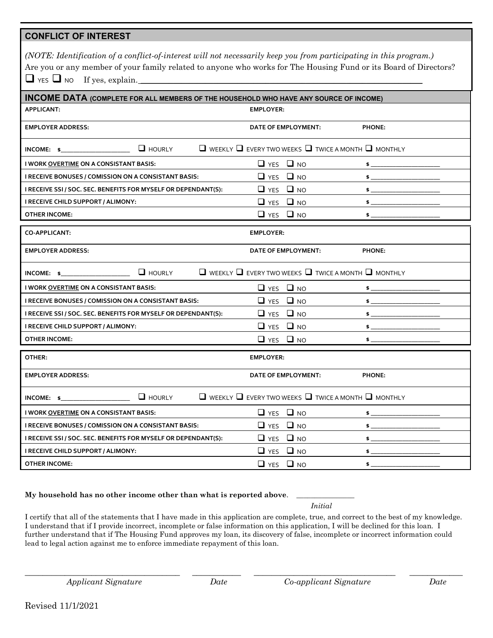### **CONFLICT OF INTEREST**

| (NOTE: Identification of a conflict-of-interest will not necessarily keep you from participating in this program.) |
|--------------------------------------------------------------------------------------------------------------------|
| Are you or any member of your family related to anyone who works for The Housing Fund or its Board of Directors?   |
| $\Box$ YES $\Box$ NO If yes, explain.                                                                              |

| <b>INCOME DATA (COMPLETE FOR ALL MEMBERS OF THE HOUSEHOLD WHO HAVE ANY SOURCE OF INCOME)</b> |                                                                          |                  |
|----------------------------------------------------------------------------------------------|--------------------------------------------------------------------------|------------------|
| <b>APPLICANT:</b>                                                                            | <b>EMPLOYER:</b>                                                         |                  |
| <b>EMPLOYER ADDRESS:</b>                                                                     | DATE OF EMPLOYMENT:                                                      | <b>PHONE:</b>    |
| $\Box$ HOURLY<br>$INCOME:$ \$                                                                | $\Box$ weekly $\Box$ every two weeks $\Box$ twice a month $\Box$ monthly |                  |
| I WORK OVERTIME ON A CONSISTANT BASIS:                                                       | $\Box$ YES $\Box$ NO                                                     | $\mathsf{s}$ $-$ |
| I RECEIVE BONUSES / COMISSION ON A CONSISTANT BASIS:                                         | $\Box$ YES $\Box$ NO                                                     | $\bullet$        |
| I RECEIVE SSI / SOC. SEC. BENEFITS FOR MYSELF OR DEPENDANT(S):                               | $\Box$ YES $\Box$ NO                                                     | \$               |
| I RECEIVE CHILD SUPPORT / ALIMONY:                                                           | $\Box$ YES $\Box$ NO                                                     | \$               |
| <b>OTHER INCOME:</b>                                                                         | $\Box$ YES<br>$\Box$ NO                                                  | $\mathsf{s}_-$   |
| <b>CO-APPLICANT:</b>                                                                         | <b>EMPLOYER:</b>                                                         |                  |
| <b>EMPLOYER ADDRESS:</b>                                                                     | DATE OF EMPLOYMENT:                                                      | <b>PHONE:</b>    |
| INCOME: $\mathbf{s}$ $\qquad \qquad$ HOURLY                                                  | $\Box$ weekly $\Box$ every two weeks $\Box$ twice a month $\Box$ monthly |                  |
| I WORK OVERTIME ON A CONSISTANT BASIS:                                                       | $\Box$ YES $\Box$ NO                                                     | \$               |
| I RECEIVE BONUSES / COMISSION ON A CONSISTANT BASIS:                                         | $\Box$ YES $\Box$ NO                                                     | \$               |
| I RECEIVE SSI / SOC. SEC. BENEFITS FOR MYSELF OR DEPENDANT(S):                               | $\Box$ YES $\Box$ NO                                                     | \$               |
| I RECEIVE CHILD SUPPORT / ALIMONY:                                                           | $\Box$ YES $\Box$ NO                                                     | $\mathsf{s}_-$   |
| <b>OTHER INCOME:</b>                                                                         | $\Box$ YES $\Box$ NO                                                     | \$               |
| OTHER:                                                                                       | <b>EMPLOYER:</b>                                                         |                  |
| <b>EMPLOYER ADDRESS:</b>                                                                     | DATE OF EMPLOYMENT:                                                      | <b>PHONE:</b>    |
| $\Box$ HOURLY<br>$INCOME:$ $\sim$                                                            | $\Box$ weekly $\Box$ every two weeks $\Box$ twice a month $\Box$ monthly |                  |
| I WORK OVERTIME ON A CONSISTANT BASIS:                                                       | $\Box$ YES $\Box$ NO                                                     | $\mathsf{s}_-$   |
| I RECEIVE BONUSES / COMISSION ON A CONSISTANT BASIS:                                         | $\Box$ YES $\Box$ NO                                                     | \$               |
| I RECEIVE SSI / SOC. SEC. BENEFITS FOR MYSELF OR DEPENDANT(S):                               | $\Box$ YES $\Box$ NO                                                     | $\sim$           |
| I RECEIVE CHILD SUPPORT / ALIMONY:                                                           | $\Box$ YES $\Box$ NO                                                     | $\mathsf{s}$ $-$ |
| <b>OTHER INCOME:</b>                                                                         | $\Box$ YES $\Box$ NO                                                     | $\mathsf{s}_-$   |

#### **My household has no other income other than what is reported above**. \_\_\_\_\_\_\_\_\_\_\_\_\_\_\_\_

*Initial*

I certify that all of the statements that I have made in this application are complete, true, and correct to the best of my knowledge. I understand that if I provide incorrect, incomplete or false information on this application, I will be declined for this loan. I further understand that if The Housing Fund approves my loan, its discovery of false, incomplete or incorrect information could lead to legal action against me to enforce immediate repayment of this loan.

\_\_\_\_\_\_\_\_\_\_\_\_\_\_\_\_\_\_\_\_\_\_\_\_\_\_\_\_\_\_\_\_\_\_\_ \_\_\_\_\_\_\_\_\_\_\_ \_\_\_\_\_\_\_\_\_\_\_\_\_\_\_\_\_\_\_\_\_\_\_\_\_\_\_\_\_\_\_\_ \_\_\_\_\_\_\_\_\_\_\_\_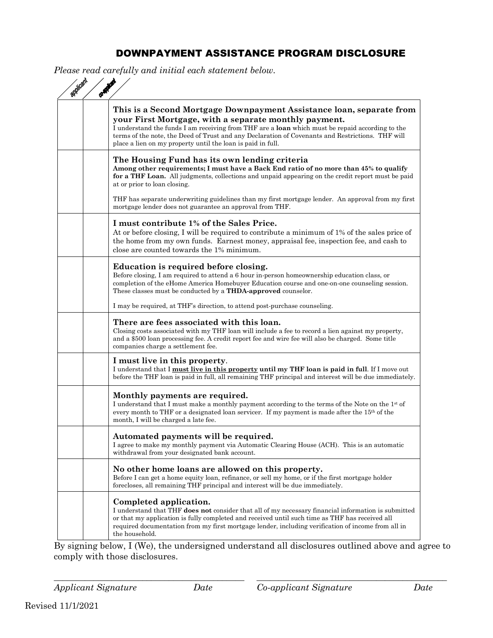# DOWNPAYMENT ASSISTANCE PROGRAM DISCLOSURE

*Please read carefully and initial each statement below.*

| This is a Second Mortgage Downpayment Assistance loan, separate from<br>your First Mortgage, with a separate monthly payment.<br>I understand the funds I am receiving from THF are a loan which must be repaid according to the<br>terms of the note, the Deed of Trust and any Declaration of Covenants and Restrictions. THF will<br>place a lien on my property until the loan is paid in full. |
|-----------------------------------------------------------------------------------------------------------------------------------------------------------------------------------------------------------------------------------------------------------------------------------------------------------------------------------------------------------------------------------------------------|
| The Housing Fund has its own lending criteria<br>Among other requirements; I must have a Back End ratio of no more than 45% to qualify<br>for a THF Loan. All judgments, collections and unpaid appearing on the credit report must be paid<br>at or prior to loan closing.                                                                                                                         |
| THF has separate underwriting guidelines than my first mortgage lender. An approval from my first<br>mortgage lender does not guarantee an approval from THF.                                                                                                                                                                                                                                       |
| I must contribute 1% of the Sales Price.<br>At or before closing, I will be required to contribute a minimum of 1% of the sales price of<br>the home from my own funds. Earnest money, appraisal fee, inspection fee, and cash to<br>close are counted towards the 1% minimum.                                                                                                                      |
| Education is required before closing.<br>Before closing, I am required to attend a 6 hour in-person homeownership education class, or<br>completion of the eHome America Homebuyer Education course and one-on-one counseling session.<br>These classes must be conducted by a <b>THDA-approved</b> counselor.                                                                                      |
| I may be required, at THF's direction, to attend post-purchase counseling.                                                                                                                                                                                                                                                                                                                          |
| There are fees associated with this loan.<br>Closing costs associated with my THF loan will include a fee to record a lien against my property,<br>and a \$500 loan processing fee. A credit report fee and wire fee will also be charged. Some title<br>companies charge a settlement fee.                                                                                                         |
| I must live in this property.<br>I understand that I must live in this property until my THF loan is paid in full. If I move out<br>before the THF loan is paid in full, all remaining THF principal and interest will be due immediately.                                                                                                                                                          |
| Monthly payments are required.<br>I understand that I must make a monthly payment according to the terms of the Note on the 1 <sup>st</sup> of<br>every month to THF or a designated loan servicer. If my payment is made after the $15th$ of the<br>month, I will be charged a late fee.                                                                                                           |
| Automated payments will be required.<br>I agree to make my monthly payment via Automatic Clearing House (ACH). This is an automatic<br>withdrawal from your designated bank account.                                                                                                                                                                                                                |
| No other home loans are allowed on this property.<br>Before I can get a home equity loan, refinance, or sell my home, or if the first mortgage holder<br>forecloses, all remaining THF principal and interest will be due immediately.                                                                                                                                                              |
| Completed application.<br>I understand that THF does not consider that all of my necessary financial information is submitted<br>or that my application is fully completed and received until such time as THF has received all<br>required documentation from my first mortgage lender, including verification of income from all in<br>the household.                                             |

By signing below, I (We), the undersigned understand all disclosures outlined above and agree to comply with those disclosures.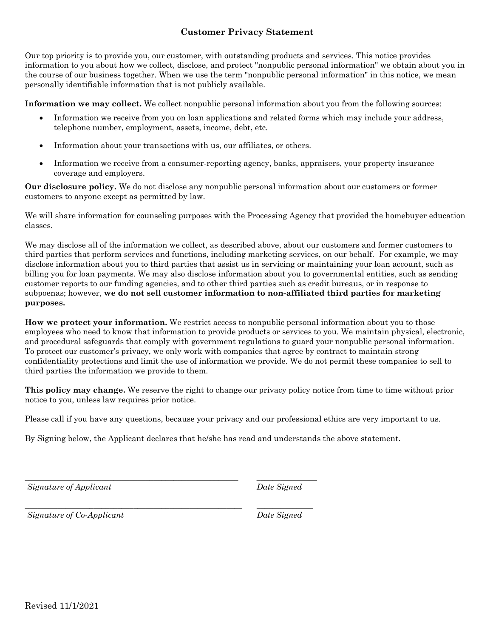## **Customer Privacy Statement**

Our top priority is to provide you, our customer, with outstanding products and services. This notice provides information to you about how we collect, disclose, and protect "nonpublic personal information" we obtain about you in the course of our business together. When we use the term "nonpublic personal information" in this notice, we mean personally identifiable information that is not publicly available.

**Information we may collect.** We collect nonpublic personal information about you from the following sources:

- Information we receive from you on loan applications and related forms which may include your address, telephone number, employment, assets, income, debt, etc.
- Information about your transactions with us, our affiliates, or others.
- Information we receive from a consumer-reporting agency, banks, appraisers, your property insurance coverage and employers.

**Our disclosure policy.** We do not disclose any nonpublic personal information about our customers or former customers to anyone except as permitted by law.

We will share information for counseling purposes with the Processing Agency that provided the homebuyer education classes.

We may disclose all of the information we collect, as described above, about our customers and former customers to third parties that perform services and functions, including marketing services, on our behalf. For example, we may disclose information about you to third parties that assist us in servicing or maintaining your loan account, such as billing you for loan payments. We may also disclose information about you to governmental entities, such as sending customer reports to our funding agencies, and to other third parties such as credit bureaus, or in response to subpoenas; however, **we do not sell customer information to non-affiliated third parties for marketing purposes.** 

**How we protect your information.** We restrict access to nonpublic personal information about you to those employees who need to know that information to provide products or services to you. We maintain physical, electronic, and procedural safeguards that comply with government regulations to guard your nonpublic personal information. To protect our customer's privacy, we only work with companies that agree by contract to maintain strong confidentiality protections and limit the use of information we provide. We do not permit these companies to sell to third parties the information we provide to them.

**This policy may change.** We reserve the right to change our privacy policy notice from time to time without prior notice to you, unless law requires prior notice.

Please call if you have any questions, because your privacy and our professional ethics are very important to us.

By Signing below, the Applicant declares that he/she has read and understands the above statement.

*\_\_\_\_\_\_\_\_\_\_\_\_\_\_\_\_\_\_\_\_\_\_\_\_\_\_\_\_\_\_\_\_\_\_\_\_\_\_\_\_\_\_\_\_\_\_\_\_\_\_\_\_\_ \_\_\_\_\_\_\_\_\_\_\_\_\_\_\_ Signature of Applicant Date Signed*

*Signature of Co-Applicant Date Signed*

*\_\_\_\_\_\_\_\_\_\_\_\_\_\_\_\_\_\_\_\_\_\_\_\_\_\_\_\_\_\_\_\_\_\_\_\_\_\_\_\_\_\_\_\_\_\_\_\_\_\_\_\_\_\_ \_\_\_\_\_\_\_\_\_\_\_\_\_\_*